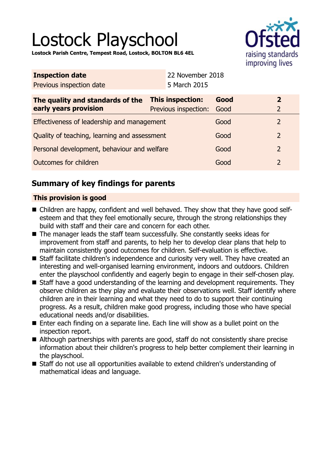# Lostock Playschool

**Lostock Parish Centre, Tempest Road, Lostock, BOLTON BL6 4EL**



| <b>Inspection date</b>                                      |  | 22 November 2018     |      |                |                |  |
|-------------------------------------------------------------|--|----------------------|------|----------------|----------------|--|
| Previous inspection date                                    |  | 5 March 2015         |      |                |                |  |
| <b>This inspection:</b><br>The quality and standards of the |  | Good                 |      | $\overline{2}$ |                |  |
| early years provision                                       |  | Previous inspection: | Good |                | $\overline{2}$ |  |
| Effectiveness of leadership and management                  |  |                      | Good |                | 2              |  |
| Quality of teaching, learning and assessment                |  | Good                 |      | $\overline{2}$ |                |  |
| Personal development, behaviour and welfare                 |  | Good                 |      | $\overline{2}$ |                |  |
| Outcomes for children                                       |  | Good                 |      | $\overline{2}$ |                |  |
|                                                             |  |                      |      |                |                |  |

# **Summary of key findings for parents**

## **This provision is good**

- Children are happy, confident and well behaved. They show that they have good selfesteem and that they feel emotionally secure, through the strong relationships they build with staff and their care and concern for each other.
- $\blacksquare$  The manager leads the staff team successfully. She constantly seeks ideas for improvement from staff and parents, to help her to develop clear plans that help to maintain consistently good outcomes for children. Self-evaluation is effective.
- Staff facilitate children's independence and curiosity very well. They have created an interesting and well-organised learning environment, indoors and outdoors. Children enter the playschool confidently and eagerly begin to engage in their self-chosen play.
- Staff have a good understanding of the learning and development requirements. They observe children as they play and evaluate their observations well. Staff identify where children are in their learning and what they need to do to support their continuing progress. As a result, children make good progress, including those who have special educational needs and/or disabilities.
- Enter each finding on a separate line. Each line will show as a bullet point on the inspection report.
- Although partnerships with parents are good, staff do not consistently share precise information about their children's progress to help better complement their learning in the playschool.
- Staff do not use all opportunities available to extend children's understanding of mathematical ideas and language.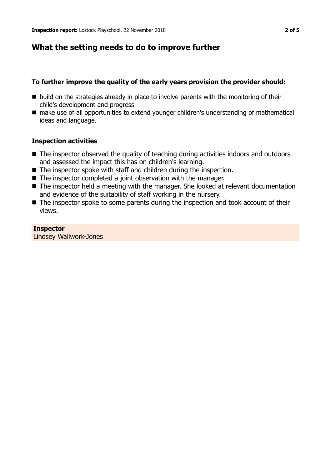## **What the setting needs to do to improve further**

## **To further improve the quality of the early years provision the provider should:**

- $\blacksquare$  build on the strategies already in place to involve parents with the monitoring of their child's development and progress
- make use of all opportunities to extend younger children's understanding of mathematical ideas and language.

#### **Inspection activities**

- $\blacksquare$  The inspector observed the quality of teaching during activities indoors and outdoors and assessed the impact this has on children's learning.
- $\blacksquare$  The inspector spoke with staff and children during the inspection.
- $\blacksquare$  The inspector completed a joint observation with the manager.
- The inspector held a meeting with the manager. She looked at relevant documentation and evidence of the suitability of staff working in the nursery.
- $\blacksquare$  The inspector spoke to some parents during the inspection and took account of their views.

#### **Inspector**

Lindsey Wallwork-Jones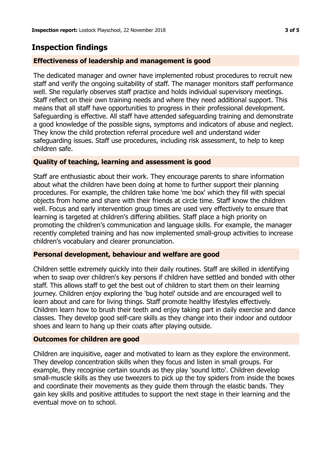## **Inspection findings**

## **Effectiveness of leadership and management is good**

The dedicated manager and owner have implemented robust procedures to recruit new staff and verify the ongoing suitability of staff. The manager monitors staff performance well. She regularly observes staff practice and holds individual supervisory meetings. Staff reflect on their own training needs and where they need additional support. This means that all staff have opportunities to progress in their professional development. Safeguarding is effective. All staff have attended safeguarding training and demonstrate a good knowledge of the possible signs, symptoms and indicators of abuse and neglect. They know the child protection referral procedure well and understand wider safeguarding issues. Staff use procedures, including risk assessment, to help to keep children safe.

## **Quality of teaching, learning and assessment is good**

Staff are enthusiastic about their work. They encourage parents to share information about what the children have been doing at home to further support their planning procedures. For example, the children take home 'me box' which they fill with special objects from home and share with their friends at circle time. Staff know the children well. Focus and early intervention group times are used very effectively to ensure that learning is targeted at children's differing abilities. Staff place a high priority on promoting the children's communication and language skills. For example, the manager recently completed training and has now implemented small-group activities to increase children's vocabulary and clearer pronunciation.

## **Personal development, behaviour and welfare are good**

Children settle extremely quickly into their daily routines. Staff are skilled in identifying when to swap over children's key persons if children have settled and bonded with other staff. This allows staff to get the best out of children to start them on their learning journey. Children enjoy exploring the 'bug hotel' outside and are encouraged well to learn about and care for living things. Staff promote healthy lifestyles effectively. Children learn how to brush their teeth and enjoy taking part in daily exercise and dance classes. They develop good self-care skills as they change into their indoor and outdoor shoes and learn to hang up their coats after playing outside.

## **Outcomes for children are good**

Children are inquisitive, eager and motivated to learn as they explore the environment. They develop concentration skills when they focus and listen in small groups. For example, they recognise certain sounds as they play 'sound lotto'. Children develop small-muscle skills as they use tweezers to pick up the toy spiders from inside the boxes and coordinate their movements as they guide them through the elastic bands. They gain key skills and positive attitudes to support the next stage in their learning and the eventual move on to school.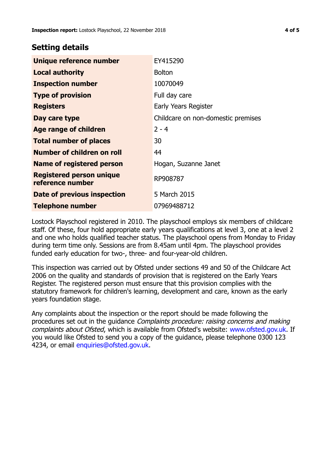## **Setting details**

| Unique reference number                             | EY415290                           |  |
|-----------------------------------------------------|------------------------------------|--|
| <b>Local authority</b>                              | <b>Bolton</b>                      |  |
| <b>Inspection number</b>                            | 10070049                           |  |
| <b>Type of provision</b>                            | Full day care                      |  |
| <b>Registers</b>                                    | Early Years Register               |  |
| Day care type                                       | Childcare on non-domestic premises |  |
| <b>Age range of children</b>                        | $2 - 4$                            |  |
| <b>Total number of places</b>                       | 30                                 |  |
| Number of children on roll                          | 44                                 |  |
| Name of registered person                           | Hogan, Suzanne Janet               |  |
| <b>Registered person unique</b><br>reference number | RP908787                           |  |
| <b>Date of previous inspection</b>                  | 5 March 2015                       |  |
| <b>Telephone number</b>                             | 07969488712                        |  |

Lostock Playschool registered in 2010. The playschool employs six members of childcare staff. Of these, four hold appropriate early years qualifications at level 3, one at a level 2 and one who holds qualified teacher status. The playschool opens from Monday to Friday during term time only. Sessions are from 8.45am until 4pm. The playschool provides funded early education for two-, three- and four-year-old children.

This inspection was carried out by Ofsted under sections 49 and 50 of the Childcare Act 2006 on the quality and standards of provision that is registered on the Early Years Register. The registered person must ensure that this provision complies with the statutory framework for children's learning, development and care, known as the early years foundation stage.

Any complaints about the inspection or the report should be made following the procedures set out in the quidance *Complaints procedure: raising concerns and making* complaints about Ofsted, which is available from Ofsted's website: www.ofsted.gov.uk. If you would like Ofsted to send you a copy of the guidance, please telephone 0300 123 4234, or email [enquiries@ofsted.gov.uk.](mailto:enquiries@ofsted.gov.uk)